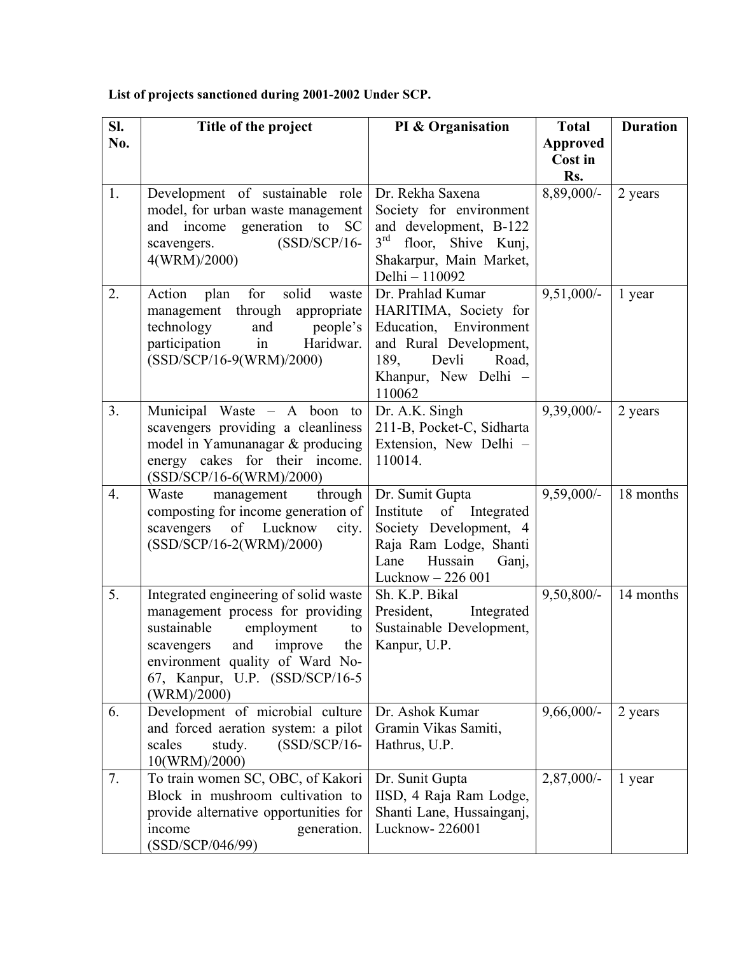## **List of projects sanctioned during 2001-2002 Under SCP.**

| SI. | Title of the project                                                                                                                                                                                                                     | PI & Organisation                                                                                                                                          | <b>Total</b>                      | <b>Duration</b> |
|-----|------------------------------------------------------------------------------------------------------------------------------------------------------------------------------------------------------------------------------------------|------------------------------------------------------------------------------------------------------------------------------------------------------------|-----------------------------------|-----------------|
| No. |                                                                                                                                                                                                                                          |                                                                                                                                                            | <b>Approved</b><br>Cost in<br>Rs. |                 |
| 1.  | Development of sustainable role<br>model, for urban waste management<br>and income generation to<br>- SC<br>$(SSD/SCP/16-$<br>scavengers.<br>4(WRM)/2000)                                                                                | Dr. Rekha Saxena<br>Society for environment<br>and development, B-122<br>3rd floor, Shive Kunj,<br>Shakarpur, Main Market,<br>Delhi - 110092               | 8,89,000/-                        | 2 years         |
| 2.  | solid<br>Action<br>for<br>plan<br>waste<br>management through<br>appropriate<br>technology<br>and<br>people's<br>in<br>Haridwar.<br>participation<br>(SSD/SCP/16-9(WRM)/2000)                                                            | Dr. Prahlad Kumar<br>HARITIMA, Society for<br>Education, Environment<br>and Rural Development,<br>Devli<br>189,<br>Road,<br>Khanpur, New Delhi -<br>110062 | $9,51,000/-$                      | 1 year          |
| 3.  | Municipal Waste – A boon<br>to<br>scavengers providing a cleanliness<br>model in Yamunanagar & producing<br>energy cakes for their income.<br>(SSD/SCP/16-6(WRM)/2000)                                                                   | Dr. A.K. Singh<br>211-B, Pocket-C, Sidharta<br>Extension, New Delhi -<br>110014.                                                                           | $9,39,000/-$                      | 2 years         |
| 4.  | Waste<br>management<br>through<br>composting for income generation of<br>of<br>Lucknow<br>scavengers<br>city.<br>(SSD/SCP/16-2(WRM)/2000)                                                                                                | Dr. Sumit Gupta<br>Institute of Integrated<br>Society Development, 4<br>Raja Ram Lodge, Shanti<br>Hussain<br>Lane<br>Ganj,<br>Lucknow - 226 001            | $9,59,000/-$                      | 18 months       |
| 5.  | Integrated engineering of solid waste<br>management process for providing<br>sustainable<br>employment<br>to<br>and<br>the<br>improve<br>scavengers<br>environment quality of Ward No-<br>67, Kanpur, U.P. (SSD/SCP/16-5)<br>(WRM)/2000) | Sh. K.P. Bikal<br>President,<br>Integrated<br>Sustainable Development,<br>Kanpur, U.P.                                                                     | $9,50,800/-$                      | 14 months       |
| 6.  | Development of microbial culture<br>and forced aeration system: a pilot<br>$(SSD/SCP/16-$<br>scales<br>study.<br>10(WRM)/2000)                                                                                                           | Dr. Ashok Kumar<br>Gramin Vikas Samiti,<br>Hathrus, U.P.                                                                                                   | $9,66,000/-$                      | 2 years         |
| 7.  | To train women SC, OBC, of Kakori<br>Block in mushroom cultivation to<br>provide alternative opportunities for<br>generation.<br>income<br>(SSD/SCP/046/99)                                                                              | Dr. Sunit Gupta<br>IISD, 4 Raja Ram Lodge,<br>Shanti Lane, Hussainganj,<br>Lucknow-226001                                                                  | $2,87,000/-$                      | 1 year          |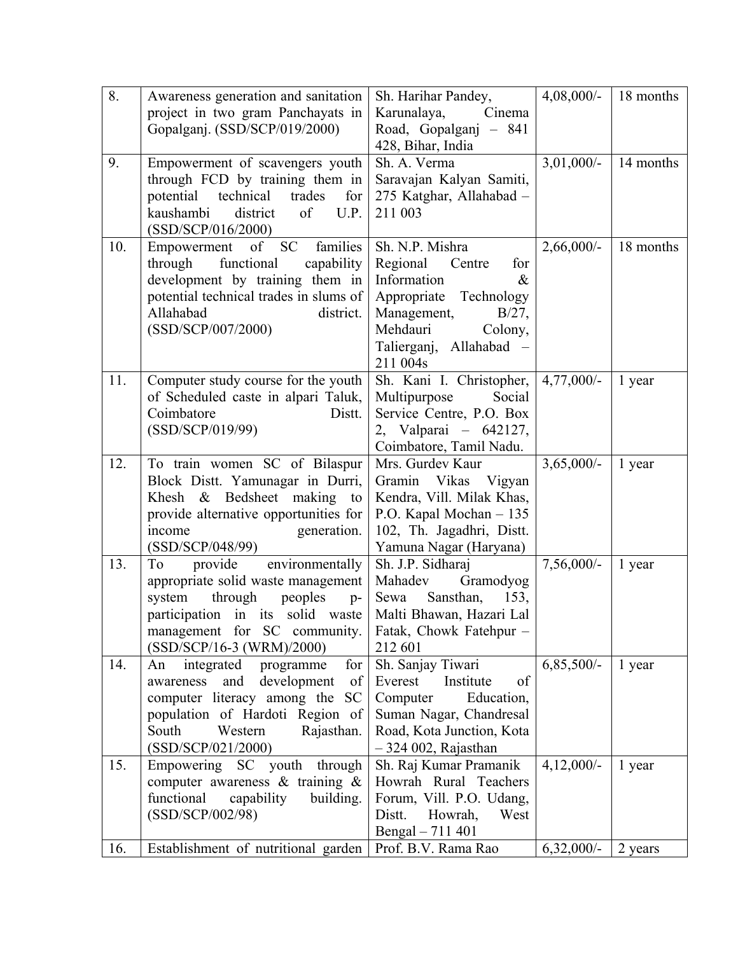| 8.  | Awareness generation and sanitation                         | Sh. Harihar Pandey,                                | $4,08,000/$ - | 18 months |
|-----|-------------------------------------------------------------|----------------------------------------------------|---------------|-----------|
|     | project in two gram Panchayats in                           | Karunalaya,<br>Cinema                              |               |           |
|     | Gopalganj. (SSD/SCP/019/2000)                               | Road, Gopalganj - 841                              |               |           |
|     |                                                             | 428, Bihar, India                                  |               |           |
| 9.  | Empowerment of scavengers youth                             | Sh. A. Verma                                       | $3,01,000/-$  | 14 months |
|     | through FCD by training them in                             | Saravajan Kalyan Samiti,                           |               |           |
|     | potential<br>technical<br>trades<br>for                     | 275 Katghar, Allahabad -                           |               |           |
|     | kaushambi<br>district<br>of<br>U.P.                         | 211 003                                            |               |           |
|     | (SSD/SCP/016/2000)                                          |                                                    |               |           |
| 10. | <b>SC</b><br>families<br>of<br>Empowerment                  | Sh. N.P. Mishra                                    | $2,66,000/-$  | 18 months |
|     | functional<br>through<br>capability                         | Regional<br>Centre<br>for                          |               |           |
|     | development by training them in                             | Information<br>&                                   |               |           |
|     | potential technical trades in slums of                      | Appropriate Technology                             |               |           |
|     | Allahabad<br>district.                                      | Management,<br>$B/27$ ,                            |               |           |
|     | (SSD/SCP/007/2000)                                          | Mehdauri<br>Colony,                                |               |           |
|     |                                                             | Talierganj, Allahabad –                            |               |           |
| 11. |                                                             | 211 004s                                           | $4,77,000/-$  |           |
|     | Computer study course for the youth                         | Sh. Kani I. Christopher,<br>Social<br>Multipurpose |               | 1 year    |
|     | of Scheduled caste in alpari Taluk,<br>Coimbatore<br>Distt. | Service Centre, P.O. Box                           |               |           |
|     | (SSD/SCP/019/99)                                            | 2, Valparai - 642127,                              |               |           |
|     |                                                             | Coimbatore, Tamil Nadu.                            |               |           |
| 12. | To train women SC of Bilaspur                               | Mrs. Gurdev Kaur                                   | $3,65,000/-$  | 1 year    |
|     | Block Distt. Yamunagar in Durri,                            | Gramin Vikas Vigyan                                |               |           |
|     | Khesh & Bedsheet making to                                  | Kendra, Vill. Milak Khas,                          |               |           |
|     | provide alternative opportunities for                       | P.O. Kapal Mochan - 135                            |               |           |
|     | generation.<br>income                                       | 102, Th. Jagadhri, Distt.                          |               |           |
|     | (SSD/SCP/048/99)                                            | Yamuna Nagar (Haryana)                             |               |           |
| 13. | environmentally<br>provide<br>To                            | Sh. J.P. Sidharaj                                  | $7,56,000/-$  | 1 year    |
|     | appropriate solid waste management                          | Mahadev<br>Gramodyog                               |               |           |
|     | through<br>peoples<br>system<br>$p-$                        | Sansthan,<br>Sewa<br>153,                          |               |           |
|     | participation in its solid waste                            | Malti Bhawan, Hazari Lal                           |               |           |
|     | management for SC community.                                | Fatak, Chowk Fatehpur -                            |               |           |
|     | (SSD/SCP/16-3 (WRM)/2000)                                   | 212 601                                            |               |           |
| 14. | for<br>integrated<br>programme<br>An                        | Sh. Sanjay Tiwari                                  | $6,85,500/-$  | 1 year    |
|     | development<br>of<br>awareness<br>and                       | Institute<br>Everest<br>of                         |               |           |
|     | computer literacy among the<br><b>SC</b>                    | Computer<br>Education,                             |               |           |
|     | population of Hardoti Region of                             | Suman Nagar, Chandresal                            |               |           |
|     | South<br>Western<br>Rajasthan.                              | Road, Kota Junction, Kota                          |               |           |
|     | (SSD/SCP/021/2000)                                          | $-324002$ , Rajasthan                              |               |           |
| 15. | Empowering SC youth through                                 | Sh. Raj Kumar Pramanik                             | $4,12,000/-$  | 1 year    |
|     | computer awareness $\&$ training $\&$                       | Howrah Rural Teachers                              |               |           |
|     | functional<br>capability<br>building.<br>(SSD/SCP/002/98)   | Forum, Vill. P.O. Udang,<br>West                   |               |           |
|     |                                                             | Distt.<br>Howrah,<br>Bengal - 711 401              |               |           |
| 16. | Establishment of nutritional garden                         | Prof. B.V. Rama Rao                                | $6,32,000/-$  | 2 years   |
|     |                                                             |                                                    |               |           |